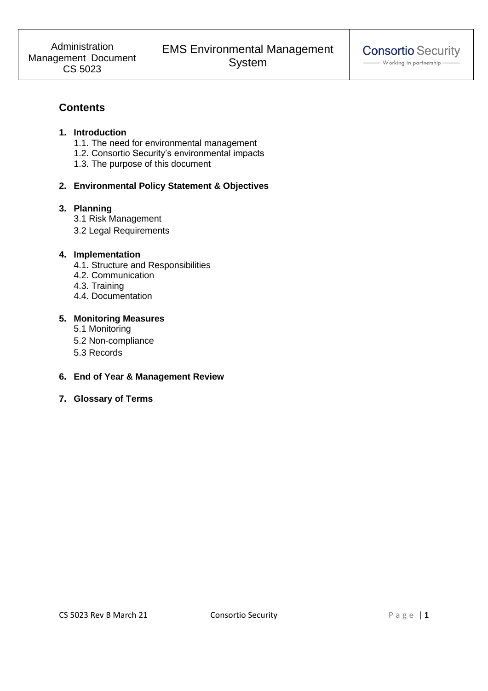# **Contents**

## **1. Introduction**

- 1.1. The need for environmental management
- 1.2. Consortio Security's environmental impacts
- 1.3. The purpose of this document

# **2. Environmental Policy Statement & Objectives**

# **3. Planning**

- 3.1 Risk Management
- 3.2 Legal Requirements

# **4. Implementation**

- 4.1. Structure and Responsibilities
- 4.2. Communication
- 4.3. Training
- 4.4. Documentation

# **5. Monitoring Measures**

- 5.1 Monitoring
- 5.2 Non-compliance
- 5.3 Records

# **6. End of Year & Management Review**

**7. Glossary of Terms**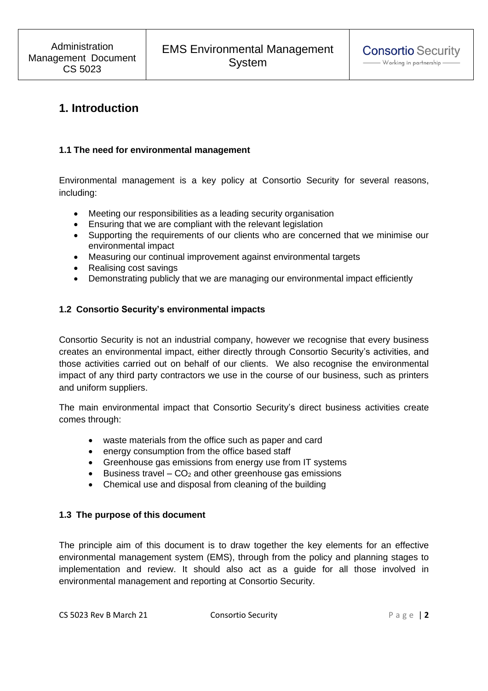# **1. Introduction**

#### **1.1 The need for environmental management**

Environmental management is a key policy at Consortio Security for several reasons, including:

- Meeting our responsibilities as a leading security organisation
- Ensuring that we are compliant with the relevant legislation
- Supporting the requirements of our clients who are concerned that we minimise our environmental impact
- Measuring our continual improvement against environmental targets
- Realising cost savings
- Demonstrating publicly that we are managing our environmental impact efficiently

#### **1.2 Consortio Security's environmental impacts**

Consortio Security is not an industrial company, however we recognise that every business creates an environmental impact, either directly through Consortio Security's activities, and those activities carried out on behalf of our clients. We also recognise the environmental impact of any third party contractors we use in the course of our business, such as printers and uniform suppliers.

The main environmental impact that Consortio Security's direct business activities create comes through:

- waste materials from the office such as paper and card
- energy consumption from the office based staff
- Greenhouse gas emissions from energy use from IT systems
- Business travel  $-$  CO<sub>2</sub> and other greenhouse gas emissions
- Chemical use and disposal from cleaning of the building

#### **1.3 The purpose of this document**

The principle aim of this document is to draw together the key elements for an effective environmental management system (EMS), through from the policy and planning stages to implementation and review. It should also act as a guide for all those involved in environmental management and reporting at Consortio Security.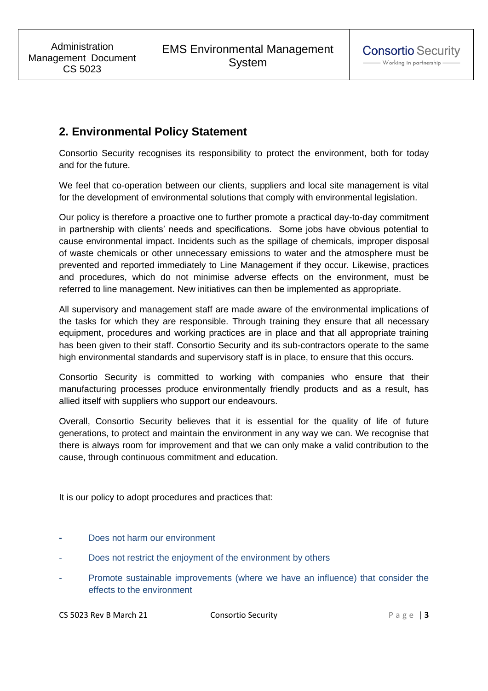# **2. Environmental Policy Statement**

Consortio Security recognises its responsibility to protect the environment, both for today and for the future.

We feel that co-operation between our clients, suppliers and local site management is vital for the development of environmental solutions that comply with environmental legislation.

Our policy is therefore a proactive one to further promote a practical day-to-day commitment in partnership with clients' needs and specifications. Some jobs have obvious potential to cause environmental impact. Incidents such as the spillage of chemicals, improper disposal of waste chemicals or other unnecessary emissions to water and the atmosphere must be prevented and reported immediately to Line Management if they occur. Likewise, practices and procedures, which do not minimise adverse effects on the environment, must be referred to line management. New initiatives can then be implemented as appropriate.

All supervisory and management staff are made aware of the environmental implications of the tasks for which they are responsible. Through training they ensure that all necessary equipment, procedures and working practices are in place and that all appropriate training has been given to their staff. Consortio Security and its sub-contractors operate to the same high environmental standards and supervisory staff is in place, to ensure that this occurs.

Consortio Security is committed to working with companies who ensure that their manufacturing processes produce environmentally friendly products and as a result, has allied itself with suppliers who support our endeavours.

Overall, Consortio Security believes that it is essential for the quality of life of future generations, to protect and maintain the environment in any way we can. We recognise that there is always room for improvement and that we can only make a valid contribution to the cause, through continuous commitment and education.

It is our policy to adopt procedures and practices that:

- Does not harm our environment
- Does not restrict the enjoyment of the environment by others
- Promote sustainable improvements (where we have an influence) that consider the effects to the environment

CS 5023 Rev B March 21 Consortio Security P a g e | **3**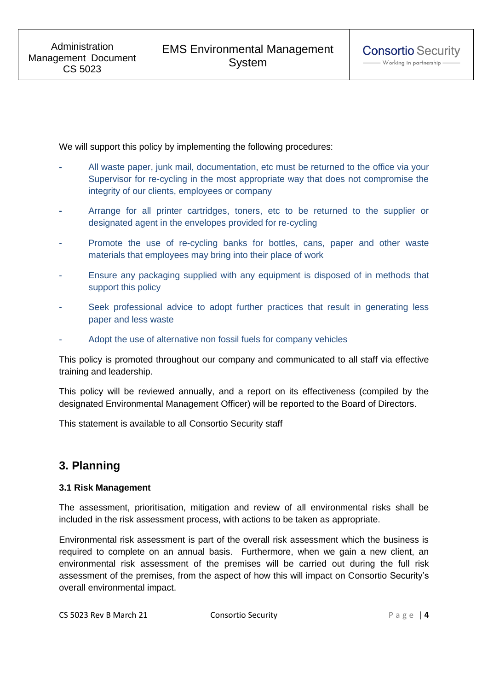We will support this policy by implementing the following procedures:

- All waste paper, junk mail, documentation, etc must be returned to the office via your Supervisor for re-cycling in the most appropriate way that does not compromise the integrity of our clients, employees or company
- Arrange for all printer cartridges, toners, etc to be returned to the supplier or designated agent in the envelopes provided for re-cycling
- Promote the use of re-cycling banks for bottles, cans, paper and other waste materials that employees may bring into their place of work
- Ensure any packaging supplied with any equipment is disposed of in methods that support this policy
- Seek professional advice to adopt further practices that result in generating less paper and less waste
- Adopt the use of alternative non fossil fuels for company vehicles

This policy is promoted throughout our company and communicated to all staff via effective training and leadership.

This policy will be reviewed annually, and a report on its effectiveness (compiled by the designated Environmental Management Officer) will be reported to the Board of Directors.

This statement is available to all Consortio Security staff

# **3. Planning**

#### **3.1 Risk Management**

The assessment, prioritisation, mitigation and review of all environmental risks shall be included in the risk assessment process, with actions to be taken as appropriate.

Environmental risk assessment is part of the overall risk assessment which the business is required to complete on an annual basis. Furthermore, when we gain a new client, an environmental risk assessment of the premises will be carried out during the full risk assessment of the premises, from the aspect of how this will impact on Consortio Security's overall environmental impact.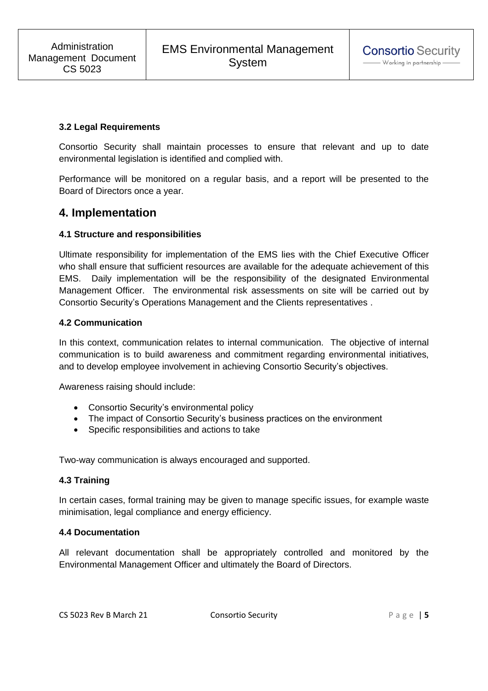### **3.2 Legal Requirements**

Consortio Security shall maintain processes to ensure that relevant and up to date environmental legislation is identified and complied with.

Performance will be monitored on a regular basis, and a report will be presented to the Board of Directors once a year.

# **4. Implementation**

#### **4.1 Structure and responsibilities**

Ultimate responsibility for implementation of the EMS lies with the Chief Executive Officer who shall ensure that sufficient resources are available for the adequate achievement of this EMS. Daily implementation will be the responsibility of the designated Environmental Management Officer. The environmental risk assessments on site will be carried out by Consortio Security's Operations Management and the Clients representatives .

#### **4.2 Communication**

In this context, communication relates to internal communication. The objective of internal communication is to build awareness and commitment regarding environmental initiatives, and to develop employee involvement in achieving Consortio Security's objectives.

Awareness raising should include:

- Consortio Security's environmental policy
- The impact of Consortio Security's business practices on the environment
- Specific responsibilities and actions to take

Two-way communication is always encouraged and supported.

#### **4.3 Training**

In certain cases, formal training may be given to manage specific issues, for example waste minimisation, legal compliance and energy efficiency.

#### **4.4 Documentation**

All relevant documentation shall be appropriately controlled and monitored by the Environmental Management Officer and ultimately the Board of Directors.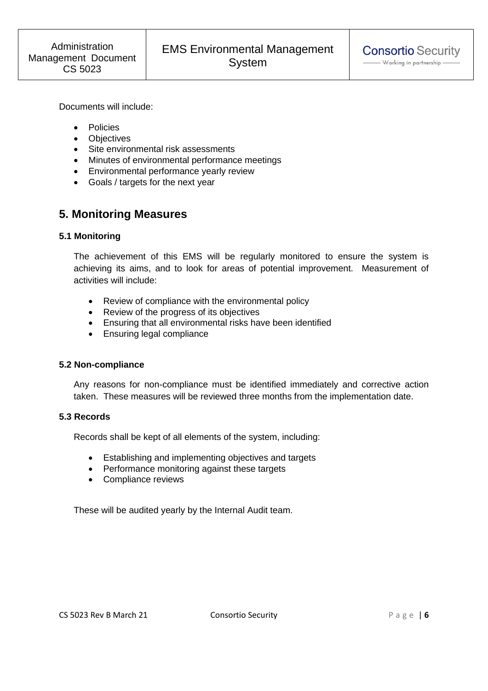Documents will include:

- Policies
- Objectives
- Site environmental risk assessments
- Minutes of environmental performance meetings
- Environmental performance yearly review
- Goals / targets for the next year

# **5. Monitoring Measures**

# **5.1 Monitoring**

The achievement of this EMS will be regularly monitored to ensure the system is achieving its aims, and to look for areas of potential improvement. Measurement of activities will include:

- Review of compliance with the environmental policy
- Review of the progress of its objectives
- Ensuring that all environmental risks have been identified
- Ensuring legal compliance

# **5.2 Non-compliance**

Any reasons for non-compliance must be identified immediately and corrective action taken. These measures will be reviewed three months from the implementation date.

# **5.3 Records**

Records shall be kept of all elements of the system, including:

- Establishing and implementing objectives and targets
- Performance monitoring against these targets
- Compliance reviews

These will be audited yearly by the Internal Audit team.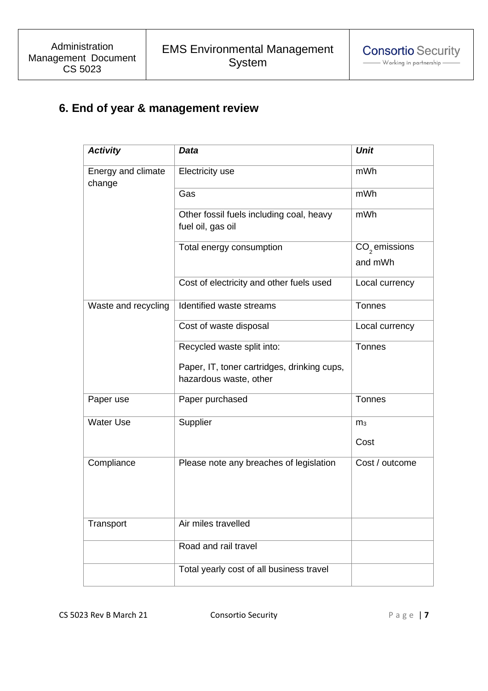# **6. End of year & management review**

| <b>Activity</b>              | Data                                                                  | <b>Unit</b>                |
|------------------------------|-----------------------------------------------------------------------|----------------------------|
| Energy and climate<br>change | <b>Electricity use</b>                                                | mWh                        |
|                              | Gas                                                                   | mWh                        |
|                              | Other fossil fuels including coal, heavy<br>fuel oil, gas oil         | mWh                        |
|                              | Total energy consumption                                              | $CO2$ emissions<br>and mWh |
|                              | Cost of electricity and other fuels used                              | Local currency             |
| Waste and recycling          | Identified waste streams                                              | <b>Tonnes</b>              |
|                              | Cost of waste disposal                                                | Local currency             |
|                              | Recycled waste split into:                                            | <b>Tonnes</b>              |
|                              | Paper, IT, toner cartridges, drinking cups,<br>hazardous waste, other |                            |
| Paper use                    | Paper purchased                                                       | Tonnes                     |
| <b>Water Use</b>             | Supplier                                                              | m <sub>3</sub>             |
|                              |                                                                       | Cost                       |
| Compliance                   | Please note any breaches of legislation                               | Cost / outcome             |
| Transport                    | Air miles travelled                                                   |                            |
|                              | Road and rail travel                                                  |                            |
|                              | Total yearly cost of all business travel                              |                            |